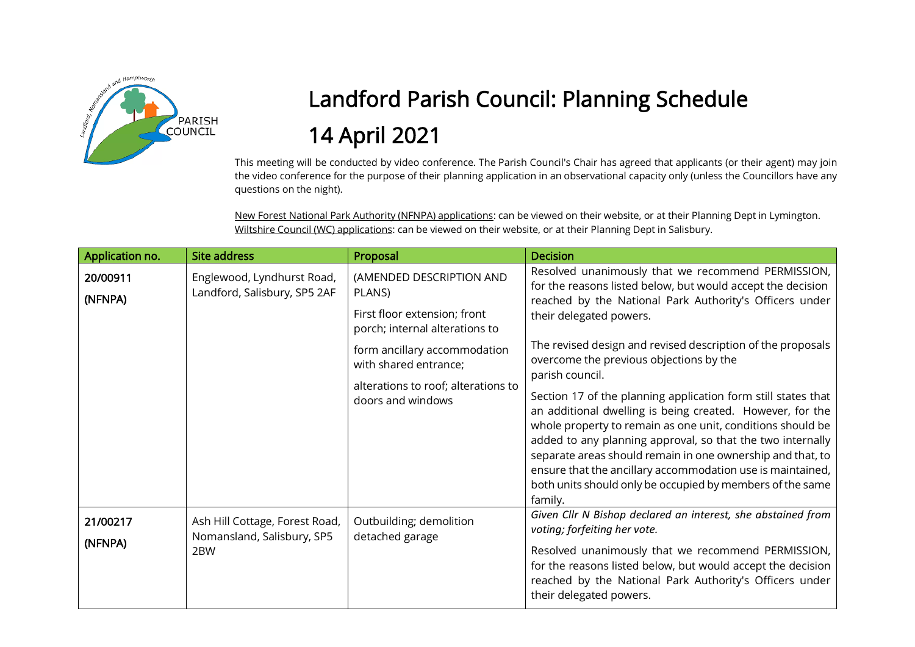

## Landford Parish Council: Planning Schedule 14 April 2021

This meeting will be conducted by video conference. The Parish Council's Chair has agreed that applicants (or their agent) may join the video conference for the purpose of their planning application in an observational capacity only (unless the Councillors have any questions on the night).

New Forest National Park Authority (NFNPA) applications: can be viewed on their website, or at their Planning Dept in Lymington. Wiltshire Council (WC) applications: can be viewed on their website, or at their Planning Dept in Salisbury.

| Application no.     | <b>Site address</b>                                                 | Proposal                                                                                                                                                                                                                  | <b>Decision</b>                                                                                                                                                                                                                                                                                                                                                                                                                                                                                                                                                                                                                                                                                                                                                                                    |
|---------------------|---------------------------------------------------------------------|---------------------------------------------------------------------------------------------------------------------------------------------------------------------------------------------------------------------------|----------------------------------------------------------------------------------------------------------------------------------------------------------------------------------------------------------------------------------------------------------------------------------------------------------------------------------------------------------------------------------------------------------------------------------------------------------------------------------------------------------------------------------------------------------------------------------------------------------------------------------------------------------------------------------------------------------------------------------------------------------------------------------------------------|
| 20/00911<br>(NFNPA) | Englewood, Lyndhurst Road,<br>Landford, Salisbury, SP5 2AF          | (AMENDED DESCRIPTION AND<br>PLANS)<br>First floor extension; front<br>porch; internal alterations to<br>form ancillary accommodation<br>with shared entrance;<br>alterations to roof; alterations to<br>doors and windows | Resolved unanimously that we recommend PERMISSION,<br>for the reasons listed below, but would accept the decision<br>reached by the National Park Authority's Officers under<br>their delegated powers.<br>The revised design and revised description of the proposals<br>overcome the previous objections by the<br>parish council.<br>Section 17 of the planning application form still states that<br>an additional dwelling is being created. However, for the<br>whole property to remain as one unit, conditions should be<br>added to any planning approval, so that the two internally<br>separate areas should remain in one ownership and that, to<br>ensure that the ancillary accommodation use is maintained,<br>both units should only be occupied by members of the same<br>family. |
| 21/00217<br>(NFNPA) | Ash Hill Cottage, Forest Road,<br>Nomansland, Salisbury, SP5<br>2BW | Outbuilding; demolition<br>detached garage                                                                                                                                                                                | Given Cllr N Bishop declared an interest, she abstained from<br>voting; forfeiting her vote.<br>Resolved unanimously that we recommend PERMISSION,<br>for the reasons listed below, but would accept the decision<br>reached by the National Park Authority's Officers under<br>their delegated powers.                                                                                                                                                                                                                                                                                                                                                                                                                                                                                            |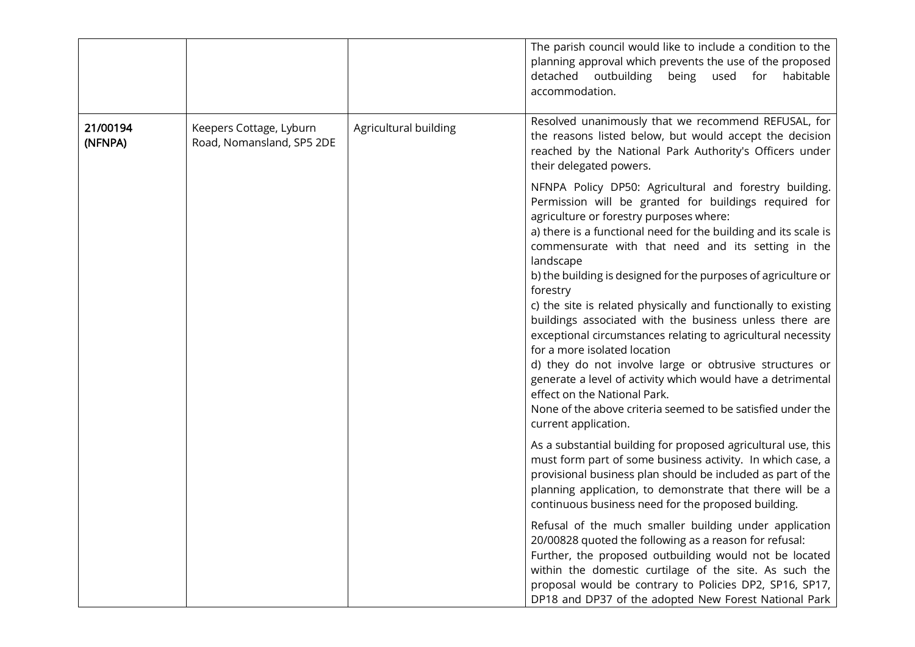|                     |                                                      |                       | The parish council would like to include a condition to the<br>planning approval which prevents the use of the proposed<br>outbuilding<br>detached<br>being<br>used<br>habitable<br>for<br>accommodation.                                                                                                                                                                                                                                                                                                                                                                                                                                                                                                                                                                                                                                                    |
|---------------------|------------------------------------------------------|-----------------------|--------------------------------------------------------------------------------------------------------------------------------------------------------------------------------------------------------------------------------------------------------------------------------------------------------------------------------------------------------------------------------------------------------------------------------------------------------------------------------------------------------------------------------------------------------------------------------------------------------------------------------------------------------------------------------------------------------------------------------------------------------------------------------------------------------------------------------------------------------------|
| 21/00194<br>(NFNPA) | Keepers Cottage, Lyburn<br>Road, Nomansland, SP5 2DE | Agricultural building | Resolved unanimously that we recommend REFUSAL, for<br>the reasons listed below, but would accept the decision<br>reached by the National Park Authority's Officers under<br>their delegated powers.                                                                                                                                                                                                                                                                                                                                                                                                                                                                                                                                                                                                                                                         |
|                     |                                                      |                       | NFNPA Policy DP50: Agricultural and forestry building.<br>Permission will be granted for buildings required for<br>agriculture or forestry purposes where:<br>a) there is a functional need for the building and its scale is<br>commensurate with that need and its setting in the<br>landscape<br>b) the building is designed for the purposes of agriculture or<br>forestry<br>c) the site is related physically and functionally to existing<br>buildings associated with the business unless there are<br>exceptional circumstances relating to agricultural necessity<br>for a more isolated location<br>d) they do not involve large or obtrusive structures or<br>generate a level of activity which would have a detrimental<br>effect on the National Park.<br>None of the above criteria seemed to be satisfied under the<br>current application. |
|                     |                                                      |                       | As a substantial building for proposed agricultural use, this<br>must form part of some business activity. In which case, a<br>provisional business plan should be included as part of the<br>planning application, to demonstrate that there will be a<br>continuous business need for the proposed building.                                                                                                                                                                                                                                                                                                                                                                                                                                                                                                                                               |
|                     |                                                      |                       | Refusal of the much smaller building under application<br>20/00828 quoted the following as a reason for refusal:<br>Further, the proposed outbuilding would not be located<br>within the domestic curtilage of the site. As such the<br>proposal would be contrary to Policies DP2, SP16, SP17,<br>DP18 and DP37 of the adopted New Forest National Park                                                                                                                                                                                                                                                                                                                                                                                                                                                                                                     |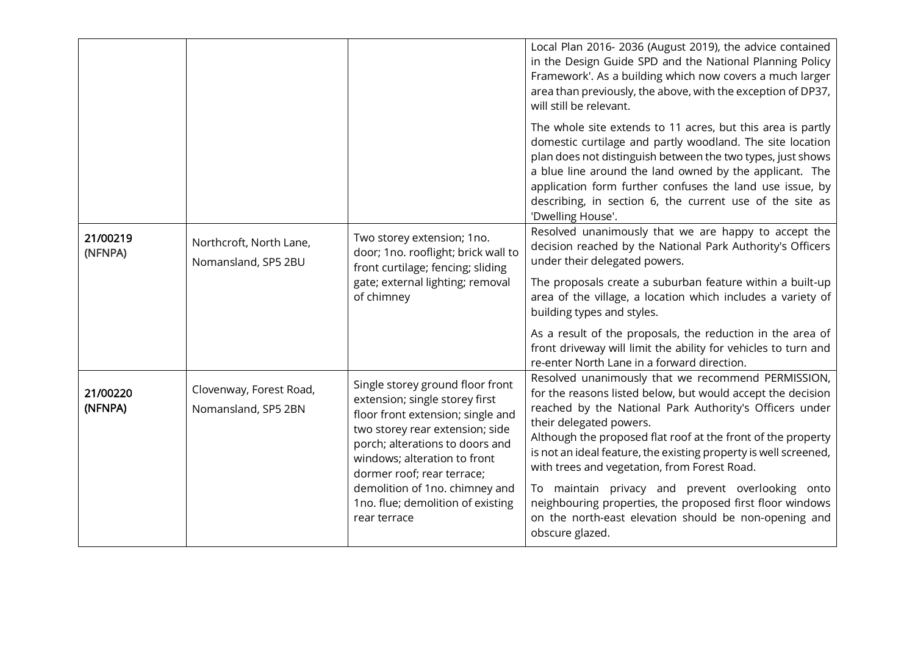|                     |                                                |                                                                                                                                                                                                                                                                                                                                    | Local Plan 2016-2036 (August 2019), the advice contained<br>in the Design Guide SPD and the National Planning Policy<br>Framework'. As a building which now covers a much larger<br>area than previously, the above, with the exception of DP37,<br>will still be relevant.<br>The whole site extends to 11 acres, but this area is partly<br>domestic curtilage and partly woodland. The site location                                                                                                                                                                                                                                 |
|---------------------|------------------------------------------------|------------------------------------------------------------------------------------------------------------------------------------------------------------------------------------------------------------------------------------------------------------------------------------------------------------------------------------|-----------------------------------------------------------------------------------------------------------------------------------------------------------------------------------------------------------------------------------------------------------------------------------------------------------------------------------------------------------------------------------------------------------------------------------------------------------------------------------------------------------------------------------------------------------------------------------------------------------------------------------------|
|                     |                                                |                                                                                                                                                                                                                                                                                                                                    | plan does not distinguish between the two types, just shows<br>a blue line around the land owned by the applicant. The<br>application form further confuses the land use issue, by<br>describing, in section 6, the current use of the site as<br>'Dwelling House'.                                                                                                                                                                                                                                                                                                                                                                     |
| 21/00219<br>(NFNPA) | Northcroft, North Lane,<br>Nomansland, SP5 2BU | Two storey extension; 1no.<br>door; 1no. rooflight; brick wall to<br>front curtilage; fencing; sliding<br>gate; external lighting; removal<br>of chimney                                                                                                                                                                           | Resolved unanimously that we are happy to accept the<br>decision reached by the National Park Authority's Officers<br>under their delegated powers.<br>The proposals create a suburban feature within a built-up<br>area of the village, a location which includes a variety of<br>building types and styles.<br>As a result of the proposals, the reduction in the area of<br>front driveway will limit the ability for vehicles to turn and                                                                                                                                                                                           |
| 21/00220<br>(NFNPA) | Clovenway, Forest Road,<br>Nomansland, SP5 2BN | Single storey ground floor front<br>extension; single storey first<br>floor front extension; single and<br>two storey rear extension; side<br>porch; alterations to doors and<br>windows; alteration to front<br>dormer roof; rear terrace;<br>demolition of 1no. chimney and<br>1no. flue; demolition of existing<br>rear terrace | re-enter North Lane in a forward direction.<br>Resolved unanimously that we recommend PERMISSION,<br>for the reasons listed below, but would accept the decision<br>reached by the National Park Authority's Officers under<br>their delegated powers.<br>Although the proposed flat roof at the front of the property<br>is not an ideal feature, the existing property is well screened,<br>with trees and vegetation, from Forest Road.<br>To maintain privacy and prevent overlooking onto<br>neighbouring properties, the proposed first floor windows<br>on the north-east elevation should be non-opening and<br>obscure glazed. |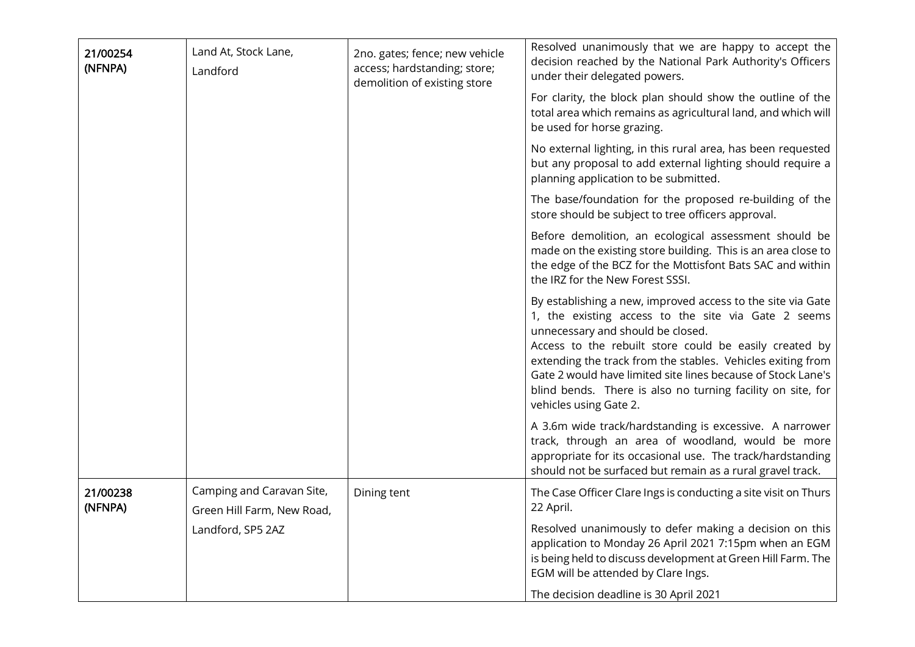| 21/00254<br>(NFNPA) | Land At, Stock Lane,<br>Landford                        | 2no. gates; fence; new vehicle<br>access; hardstanding; store;<br>demolition of existing store | Resolved unanimously that we are happy to accept the<br>decision reached by the National Park Authority's Officers<br>under their delegated powers.<br>For clarity, the block plan should show the outline of the<br>total area which remains as agricultural land, and which will                                                                                                                                                        |
|---------------------|---------------------------------------------------------|------------------------------------------------------------------------------------------------|-------------------------------------------------------------------------------------------------------------------------------------------------------------------------------------------------------------------------------------------------------------------------------------------------------------------------------------------------------------------------------------------------------------------------------------------|
|                     |                                                         |                                                                                                | be used for horse grazing.                                                                                                                                                                                                                                                                                                                                                                                                                |
|                     |                                                         |                                                                                                | No external lighting, in this rural area, has been requested<br>but any proposal to add external lighting should require a<br>planning application to be submitted.                                                                                                                                                                                                                                                                       |
|                     |                                                         |                                                                                                | The base/foundation for the proposed re-building of the<br>store should be subject to tree officers approval.                                                                                                                                                                                                                                                                                                                             |
|                     |                                                         |                                                                                                | Before demolition, an ecological assessment should be<br>made on the existing store building. This is an area close to<br>the edge of the BCZ for the Mottisfont Bats SAC and within<br>the IRZ for the New Forest SSSI.                                                                                                                                                                                                                  |
|                     |                                                         |                                                                                                | By establishing a new, improved access to the site via Gate<br>1, the existing access to the site via Gate 2 seems<br>unnecessary and should be closed.<br>Access to the rebuilt store could be easily created by<br>extending the track from the stables. Vehicles exiting from<br>Gate 2 would have limited site lines because of Stock Lane's<br>blind bends. There is also no turning facility on site, for<br>vehicles using Gate 2. |
|                     |                                                         |                                                                                                | A 3.6m wide track/hardstanding is excessive. A narrower<br>track, through an area of woodland, would be more<br>appropriate for its occasional use. The track/hardstanding<br>should not be surfaced but remain as a rural gravel track.                                                                                                                                                                                                  |
| 21/00238<br>(NFNPA) | Camping and Caravan Site,<br>Green Hill Farm, New Road, | Dining tent                                                                                    | The Case Officer Clare Ings is conducting a site visit on Thurs<br>22 April.                                                                                                                                                                                                                                                                                                                                                              |
|                     | Landford, SP5 2AZ                                       |                                                                                                | Resolved unanimously to defer making a decision on this<br>application to Monday 26 April 2021 7:15pm when an EGM<br>is being held to discuss development at Green Hill Farm. The<br>EGM will be attended by Clare Ings.                                                                                                                                                                                                                  |
|                     |                                                         |                                                                                                | The decision deadline is 30 April 2021                                                                                                                                                                                                                                                                                                                                                                                                    |